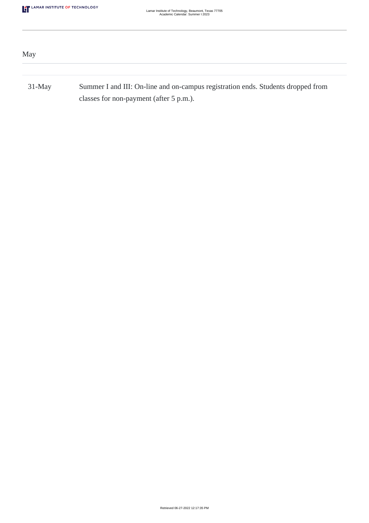| May       |                                                                                  |
|-----------|----------------------------------------------------------------------------------|
| $31$ -May | Summer I and III: On-line and on-campus registration ends. Students dropped from |
|           | classes for non-payment (after 5 p.m.).                                          |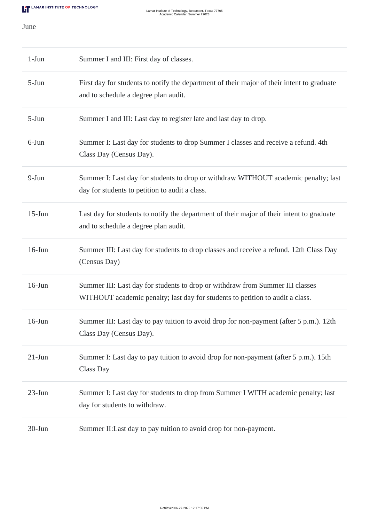June

| $1-Jun$    | Summer I and III: First day of classes.                                                                                                                        |
|------------|----------------------------------------------------------------------------------------------------------------------------------------------------------------|
| $5-Jun$    | First day for students to notify the department of their major of their intent to graduate<br>and to schedule a degree plan audit.                             |
| $5-Jun$    | Summer I and III: Last day to register late and last day to drop.                                                                                              |
| 6-Jun      | Summer I: Last day for students to drop Summer I classes and receive a refund. 4th<br>Class Day (Census Day).                                                  |
| $9-Jun$    | Summer I: Last day for students to drop or withdraw WITHOUT academic penalty; last<br>day for students to petition to audit a class.                           |
| $15$ -Jun  | Last day for students to notify the department of their major of their intent to graduate<br>and to schedule a degree plan audit.                              |
| $16$ -Jun  | Summer III: Last day for students to drop classes and receive a refund. 12th Class Day<br>(Census Day)                                                         |
| $16$ -Jun  | Summer III: Last day for students to drop or withdraw from Summer III classes<br>WITHOUT academic penalty; last day for students to petition to audit a class. |
| $16$ -Jun  | Summer III: Last day to pay tuition to avoid drop for non-payment (after 5 p.m.). 12th<br>Class Day (Census Day).                                              |
| $21-Jun$   | Summer I: Last day to pay tuition to avoid drop for non-payment (after 5 p.m.). 15th<br>Class Day                                                              |
| $23$ -Jun  | Summer I: Last day for students to drop from Summer I WITH academic penalty; last<br>day for students to withdraw.                                             |
| $30 - Jun$ | Summer II: Last day to pay tuition to avoid drop for non-payment.                                                                                              |